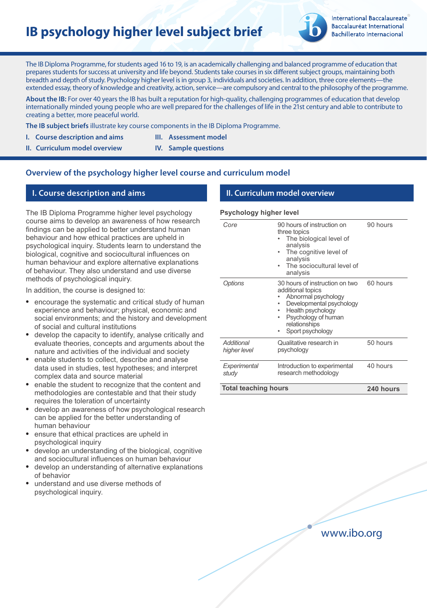# **IB psychology higher level subject brief**



**International Baccalaureate** Baccalauréat International **Bachillerato Internacional** 

The IB Diploma Programme, for students aged 16 to 19, is an academically challenging and balanced programme of education that prepares students for success at university and life beyond. Students take courses in six different subject groups, maintaining both breadth and depth of study. Psychology higher level is in group 3, individuals and societies. In addition, three core elements—the extended essay, theory of knowledge and creativity, action, service—are compulsory and central to the philosophy of the programme.

**About the IB:** For over 40 years the IB has built a reputation for high-quality, challenging programmes of education that develop internationally minded young people who are well prepared for the challenges of life in the 21st century and able to contribute to creating a better, more peaceful world.

**The IB subject briefs** illustrate key course components in the IB Diploma Programme.

- **I.** Course description and aims **III.** Assessment model
- **II. Curriculum model overview IV. Sample questions**

# **Overview of the psychology higher level course and curriculum model**

# **I. Course description and aims II. Curriculum model overview**

The IB Diploma Programme higher level psychology course aims to develop an awareness of how research findings can be applied to better understand human behaviour and how ethical practices are upheld in psychological inquiry. Students learn to understand the biological, cognitive and sociocultural influences on human behaviour and explore alternative explanations of behaviour. They also understand and use diverse methods of psychological inquiry.

In addition, the course is designed to:

- encourage the systematic and critical study of human experience and behaviour; physical, economic and social environments; and the history and development of social and cultural institutions
- develop the capacity to identify, analyse critically and evaluate theories, concepts and arguments about the nature and activities of the individual and society
- enable students to collect, describe and analyse data used in studies, test hypotheses; and interpret complex data and source material
- enable the student to recognize that the content and methodologies are contestable and that their study requires the toleration of uncertainty
- develop an awareness of how psychological research can be applied for the better understanding of human behaviour
- ensure that ethical practices are upheld in psychological inquiry
- develop an understanding of the biological, cognitive and sociocultural influences on human behaviour
- develop an understanding of alternative explanations of behavior
- understand and use diverse methods of psychological inquiry.

#### **Psychology higher level**

| Core                        | 90 hours of instruction on<br>three topics<br>The biological level of<br>analysis<br>The cognitive level of<br>analysis<br>The sociocultural level of<br>analysis                            | 90 hours  |
|-----------------------------|----------------------------------------------------------------------------------------------------------------------------------------------------------------------------------------------|-----------|
| Options                     | 30 hours of instruction on two<br>additional topics<br>Abnormal psychology<br>Developmental psychology<br>Health psychology<br>Psychology of human<br>relationships<br>Sport psychology<br>٠ | 60 hours  |
| Additional<br>higher level  | Qualitative research in<br>psychology                                                                                                                                                        | 50 hours  |
| Experimental<br>study       | Introduction to experimental<br>research methodology                                                                                                                                         | 40 hours  |
| <b>Total teaching hours</b> |                                                                                                                                                                                              | 240 hours |

www.ibo.org